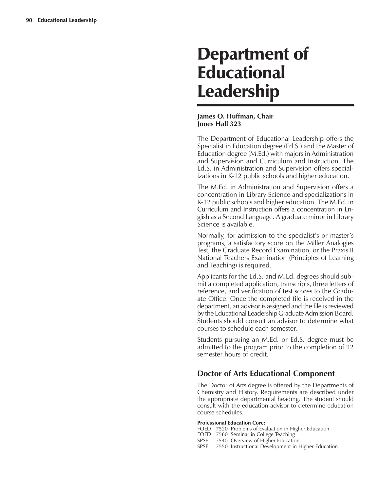# Department of Educational Leadership

### **James O. Huffman, Chair Jones Hall 323**

The Department of Educational Leadership offers the Specialist in Education degree (Ed.S.) and the Master of Education degree (M.Ed.) with majors in Administration and Supervision and Curriculum and Instruction. The Ed.S. in Administration and Supervision offers specializations in K-12 public schools and higher education.

The M.Ed. in Administration and Supervision offers a concentration in Library Science and specializations in K-12 public schools and higher education. The M.Ed. in Curriculum and Instruction offers a concentration in English as a Second Language. A graduate minor in Library Science is available.

Normally, for admission to the specialist's or master's programs, a satisfactory score on the Miller Analogies Test, the Graduate Record Examination, or the Praxis II National Teachers Examination (Principles of Learning and Teaching) is required.

Applicants for the Ed.S. and M.Ed. degrees should submit a completed application, transcripts, three letters of reference, and verification of test scores to the Graduate Office. Once the completed file is received in the department, an advisor is assigned and the file is reviewed by the Educational Leadership Graduate Admission Board. Students should consult an advisor to determine what courses to schedule each semester.

Students pursuing an M.Ed. or Ed.S. degree must be admitted to the program prior to the completion of 12 semester hours of credit.

# **Doctor of Arts Educational Component**

The Doctor of Arts degree is offered by the Departments of Chemistry and History. Requirements are described under the appropriate departmental heading. The student should consult with the education advisor to determine education course schedules.

### **Professional Education Core:**

- FOED 7520 Problems of Evaluation in Higher Education
- FOED 7560 Seminar in College Teaching
- SPSE 7540 Overview of Higher Education
- SPSE 7550 Instructional Development in Higher Education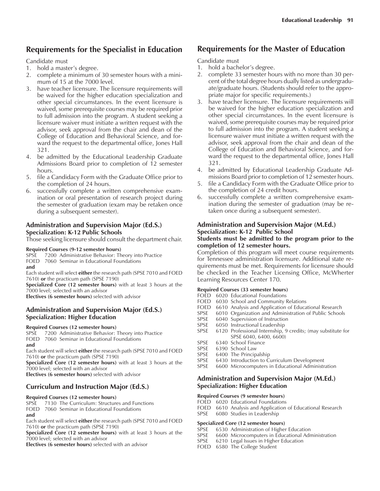# **Requirements for the Specialist in Education**

### Candidate must

- 1. hold a master's degree.
- 2. complete a minimum of 30 semester hours with a minimum of 15 at the 7000 level.
- 3. have teacher licensure. The licensure requirements will be waived for the higher education specialization and other special circumstances. In the event licensure is waived, some prerequisite courses may be required prior to full admission into the program. A student seeking a licensure waiver must initiate a written request with the advisor, seek approval from the chair and dean of the College of Education and Behavioral Science, and forward the request to the departmental office, Jones Hall 321.
- 4. be admitted by the Educational Leadership Graduate Admissions Board prior to completion of 12 semester hours.
- 5. file a Candidacy Form with the Graduate Office prior to the completion of 24 hours.
- 6. successfully complete a written comprehensive examination or oral presentation of research project during the semester of graduation (exam may be retaken once during a subsequent semester).

### **Administration and Supervision Major (Ed.S.) Specialization: K-12 Public Schools**

Those seeking licensure should consult the department chair.

### **Required Courses (9-12 semester hours)**

SPSE 7200 Administrative Behavior: Theory into Practice

FOED 7060 Seminar in Educational Foundations **and**

Each student will select **either** the research path (SPSE 7010 and FOED 7610) **or** the practicum path (SPSE 7190)

**Specialized Core (12 semester hours)** with at least 3 hours at the 7000 level; selected with an advisor

**Electives (6 semester hours)** selected with advisor

### **Administration and Supervision Major (Ed.S.) Specialization: Higher Education**

### **Required Courses (12 semester hours)**

SPSE 7200 Administrative Behavior: Theory into Practice FOED 7060 Seminar in Educational Foundations **and**

Each student will select **either** the research path (SPSE 7010 and FOED 7610) **or** the practicum path (SPSE 7190)

**Specialized Core (12 semester hours)** with at least 3 hours at the 7000 level; selected with an advisor

**Electives (6 semester hours)** selected with advisor

### **Curriculum and Instruction Major (Ed.S.)**

### **Required Courses (12 semester hours)**

SPSE 7130 The Curriculum: Structures and Functions FOED 7060 Seminar in Educational Foundations **and**

Each student will select **either** the research path (SPSE 7010 and FOED 7610) **or** the practicum path (SPSE 7190)

**Specialized Core (12 semester hours)** with at least 3 hours at the 7000 level; selected with an advisor

**Electives (6 semester hours)** selected with an advisor

### **Requirements for the Master of Education**

Candidate must

- 1. hold a bachelor's degree.
- 2. complete 33 semester hours with no more than 30 percent of the total degree hours dually listed as undergraduate/graduate hours. (Students should refer to the appropriate major for specific requirements.)
- 3. have teacher licensure. The licensure requirements will be waived for the higher education specialization and other special circumstances. In the event licensure is waived, some prerequisite courses may be required prior to full admission into the program. A student seeking a licensure waiver must initiate a written request with the advisor, seek approval from the chair and dean of the College of Education and Behavioral Science, and forward the request to the departmental office, Jones Hall 321.
- 4. be admitted by Educational Leadership Graduate Admissions Board prior to completion of 12 semester hours.
- 5. file a Candidacy Form with the Graduate Office prior to the completion of 24 credit hours.
- 6. successfully complete a written comprehensive examination during the semester of graduation (may be retaken once during a subsequent semester).

### **Administration and Supervision Major (M.Ed.) Specialization: K-12 Public School**

### **Students must be admitted to the program prior to the completion of 12 semester hours.**

Completion of this program will meet course requirements for Tennessee administration licensure. Additional state requirements must be met. Requirements for licensure should be checked in the Teacher Licensing Office, McWherter Learning Resources Center 170.

### **Required Courses (33 semester hours)**

- FOED 6020 Educational Foundations
- FOED 6030 School and Community Relations
- FOED 6610 Analysis and Application of Educational Research
- SPSE 6010 Organization and Administration of Public Schools<br>SPSE 6040 Supervision of Instruction
- 6040 Supervision of Instruction
- SPSE 6050 Instructional Leadership
- SPSE 6120 Professional Internship, 9 credits; (may substitute for SPSE 6040, 6400, 6600)
- SPSE 6340 School Finance
- SPSE 6390 School Law<br>SPSE 6400 The Princip
- 6400 The Principalship
- SPSE 6430 Introduction to Curriculum Development
- SPSE 6600 Microcomputers in Educational Administration

### **Administration and Supervision Major (M.Ed.) Specialization: Higher Education**

### **Required Courses (9 semester hours)**

- FOED 6020 Educational Foundations
- FOED 6610 Analysis and Application of Educational Research
- SPSE 6080 Studies in Leadership

# **Specialized Core (12 semester hours)**<br>SPSE 6530 Administration of Higher

- 6530 Administration of Higher Education
- SPSE 6600 Microcomputers in Educational Administration
- SPSE 6210 Legal Issues in Higher Education
- FOED 6580 The College Student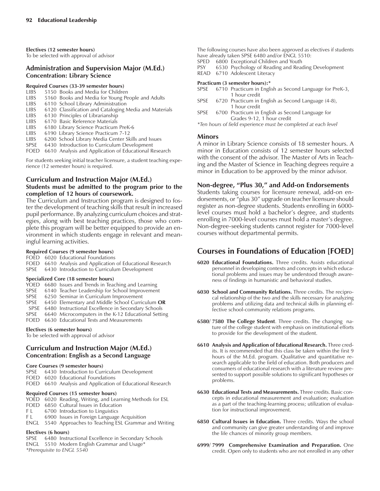**Electives (12 semester hours)** To be selected with approval of advisor

### **Administration and Supervision Major (M.Ed.) Concentration: Library Science**

# **Required Courses (33-39 semester hours)**

- LIBS 5150 Books and Media for Children<br>LIBS 5160 Books and Media for Young Pe
- 5160 Books and Media for Young People and Adults
- LIBS 6110 School Library Administration
- LIBS 6120 Classification and Cataloging Media and Materials
- LIBS 6130 Principles of Librarianship
- LIBS 6170 Basic Reference Materials
- LIBS 6180 Library Science Practicum PreK-6<br>LIBS 6190 Library Science Practicum 7-12
- 6190 Library Science Practicum 7-12
- LIBS 6200 School Library Media Center Skills and Issues
- SPSE 6430 Introduction to Curriculum Development FOED 6610 Analysis and Application of Educational Research
- For students seeking initial teacher licensure, a student teaching expe-

rience (12 semester hours) is required.

### **Curriculum and Instruction Major (M.Ed.)**

### **Students must be admitted to the program prior to the completion of 12 hours of coursework.**

The Curriculum and Instruction program is designed to foster the development of teaching skills that result in increased pupil performance. By analyzing curriculum choices and strategies, along with best teaching practices, those who complete this program will be better equipped to provide an environment in which students engage in relevant and meaningful learning activities.

### **Required Courses (9 semester hours)**

FOED 6020 Educational Foundations FOED 6610 Analysis and Application of Educational Research

SPSE 6430 Introduction to Curriculum Development

### **Specialized Core (18 semester hours)**

YOED 6680 Issues and Trends in Teaching and Learning SPSE 6140 Teacher Leadership for School Improvement SPSE 6250 Seminar in Curriculum Improvement<br>SPSE 6450 Elementary and Middle School Curric 6450 Elementary and Middle School Curriculum OR SPSE 6480 Instructional Excellence in Secondary Schools SPSE 6640 Microcomputers in the K-12 Educational Setting FOED 6630 Educational Tests and Measurements

### **Electives (6 semester hours)**

To be selected with approval of advisor

### **Curriculum and Instruction Major (M.Ed.) Concentration: English as a Second Language**

### **Core Courses (9 semester hours)**

SPSE 6430 Introduction to Curriculum Development FOED 6020 Educational Foundations FOED 6610 Analysis and Application of Educational Research

### **Required Courses (15 semester hours)**

YOED 6020 Reading, Writing, and Learning Methods for ESL

- FOED 6850 Cultural Issues in Education
- F L 6700 Introduction to Linguistics
- F L 6900 Issues in Foreign Language Acquisition
- ENGL 5540 Approaches to Teaching ESL Grammar and Writing

### **Electives (6 hours)**

SPSE 6480 Instructional Excellence in Secondary Schools ENGL 5510 Modern English Grammar and Usage\* *\*Prerequisite to ENGL 5540*

The following courses have also been approved as electives if students have already taken SPSE 6480 and/or ENGL 5510:

- SPED 6800 Exceptional Children and Youth<br>PSY 6530 Psychology of Reading and Rea
- 6530 Psychology of Reading and Reading Development
- READ 6710 Adolescent Literacy

### **Practicum (3 semester hours):\***

- SPSE 6710 Practicum in English as Second Language for PreK-3, 1 hour credit
- SPSE 6720 Practicum in English as Second Language (4-8), 1 hour credit
- SPSE 6700 Practicum in English as Second Language for Grades 9-12, 1 hour credit
- *\*Ten hours of field experience must be completed at each level*

### **Minors**

A minor in Library Science consists of 18 semester hours. A minor in Education consists of 12 semester hours selected with the consent of the advisor. The Master of Arts in Teaching and the Master of Science in Teaching degrees require a minor in Education to be approved by the minor advisor.

### Non-degree, "Plus 30," and Add-on Endorsements

Students taking courses for licensure renewal, add-on endorsements, or "plus 30" upgrade on teacher licensure should register as non-degree students. Students enrolling in 6000 level courses must hold a bachelor's degree, and students enrolling in 7000-level courses must hold a master's degree. Non-degree-seeking students cannot register for 7000-level courses without departmental permits.

# **Courses in Foundations of Education [FOED]**

- **6020 Educational Foundations.** Three credits. Assists educational personnel in developing contexts and concepts in which educational problems and issues may be understood through awareness of findings in humanistic and behavioral studies.
- **6030 School and Community Relations.** Three credits. The reciprocal relationship of the two and the skills necessary for analyzing problems and utilizing data and technical skills in planning effective school-community relations programs.
- **6580/ 7580 The College Student**. Three credits. The changing nature of the college student with emphasis on institutional efforts to provide for the development of the student.
- **6610 Analysis and Application of Educational Research.** Three credits. It is recommended that this class be taken within the first 9 hours of the M.Ed. program. Qualitative and quantitative research applicable to the field of education. Both producers and consumers of educational research with a literature review presented to support possible solutions to significant hypotheses or problems.
- **6630 Educational Tests and Measurements.** Three credits. Basic concepts in educational measurement and evaluation; evaluation as a part of the teaching-learning process; utilization of evaluation for instructional improvement.
- **6850 Cultural Issues in Education.** Three credits. Ways the school and community can give greater understanding of and improve the life chances of minority group members.
- **6999/ 7999 Comprehensive Examination and Preparation.** One credit. Open only to students who are not enrolled in any other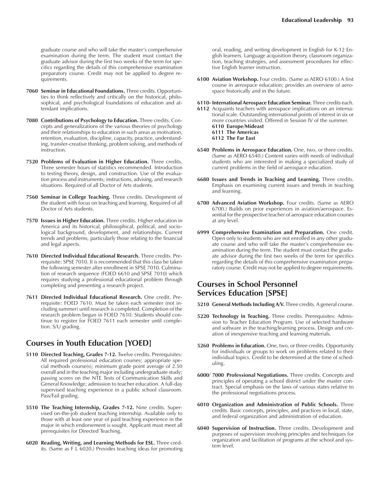graduate course and who will take the master's comprehensive examination during the term. The student must contact the graduate advisor during the first two weeks of the term for specifics regarding the details of this comprehensive examination preparatory course. Credit may not be applied to degree requirements.

- **7060 Seminar in Educational Foundations.** Three credits. Opportunities to think reflectively and critically on the historical, philosophical, and psychological foundations of education and attendant implications.
- **7080 Contributions of Psychology to Education.** Three credits. Concepts and generalizations of the various theories of psychology and their relationships to education in such areas as motivation, retention, evaluation, discipline, capacity, practice, understanding, transfer-creative thinking, problem solving, and methods of instruction.
- **7520 Problems of Evaluation in Higher Education.** Three credits. Three semester hours of statistics recommended. Introduction to testing theory, design, and construction. Use of the evaluation process and instruments; instructions, advising, and research situations. Required of all Doctor of Arts students.
- **7560 Seminar in College Teaching.** Three credits. Development of the student with focus on teaching and learning. Required of all Doctor of Arts students.
- **7570 Issues in Higher Education.** Three credits. Higher education in America and its historical, philosophical, political, and sociological background, development, and relationships. Current trends and problems, particularly those relating to the financial and legal aspects.
- **7610 Directed Individual Educational Research.** Three credits. Prerequisite: SPSE 7010. It is recommended that this class be taken the following semester after enrollment in SPSE 7010. Culmination of research sequence (FOED 6610 and SPSE 7010) which requires studying a professional educational problem through completing and presenting a research project.
- **7611 Directed Individual Educational Research.** One credit. Prerequisite: FOED 7610. Must be taken each semester (not including summer) until research is completed. Completion of the research problem begun in FOED 7610. Students should continue to register for FOED 7611 each semester until completion. S/U grading.

# **Courses in Youth Education [YOED]**

- **5110 Directed Teaching, Grades 7-12.** Twelve credits. Prerequisites: All required professional education courses; appropriate special methods course(s); minimum grade point average of 2.50 overall and in the teaching major including undergraduate study; passing scores on the NTE Tests of Communication Skills and General Knowledge; admission to teacher education. A full-day supervised teaching experience in a public school classroom. Pass/Fail grading.
- **5510 The Teaching Internship, Grades 7-12.** Nine credits. Supervised on-the-job student teaching internship. Available only to those with at least one year of paid teaching experience in the major in which endorsement is sought. Applicant must meet all prerequisites for Directed Teaching.
- **6020 Reading, Writing, and Learning Methods for ESL.** Three credits. (Same as F L 6020.) Provides teaching ideas for promoting

oral, reading, and writing development in English for K-12 English learners. Language acquisition theory, classroom organization, teaching strategies, and assessment procedures for effective English learner instruction.

**6100 Aviation Workshop.** Four credits. (Same as AERO 6100.) A first course in aerospace education; provides an overview of aerospace historically and in the future.

**6110- International Aerospace Education Seminar.** Three credits each.

- **6112** Acquaints teachers with aerospace implications on an international scale. Outstanding international points of interest in six or more countries visited. Offered in Session IV of the summer. **6110 Europe/Mideast 6111 The Americas 6112 The Far East**
- **6540 Problems in Aerospace Education.** One, two, or three credits. (Same as AERO 6540.) Content varies with needs of individual students who are interested in making a specialized study of current problems in the field of aerospace education.
- **6680 Issues and Trends in Teaching and Learning.** Three credits. Emphasis on examining current issues and trends in teaching and learning.
- **6700 Advanced Aviation Workshop.** Four credits. (Same as AERO 6700.) Builds on prior experiences in aviation/aerospace. Essential for the prospective teacher of aerospace education courses at any level.
- **6999 Comprehensive Examination and Preparation.** One credit. Open only to students who are not enrolled in any other graduate course and who will take the master's comprehensive examination during the term. The student must contact the graduate advisor during the first two weeks of the term for specifics regarding the details of this comprehensive examination preparatory course. Credit may not be applied to degree requirements.

# **Courses in School Personnel Services Education [SPSE]**

- **5210 General Methods Including A/V.** Three credits. A general course.
- **5220 Technology in Teaching.** Three credits. Prerequisites: Admission to Teacher Education Program. Use of selected hardware and software in the teaching/learning process. Design and creation of inexpensive teaching and learning materials.
- **5260 Problems in Education.** One, two, or three credits. Opportunity for individuals or groups to work on problems related to their individual topics. Credit to be determined at the time of scheduling.
- **6000/ 7000 Professional Negotiations.** Three credits. Concepts and principles of operating a school district under the master contract. Special emphasis on the laws of various states relative to the professional negotiations process.
- **6010 Organization and Administration of Public Schools.** Three credits. Basic concepts, principles, and practices in local, state, and federal organization and administration of education.
- **6040 Supervision of Instruction.** Three credits. Development and purposes of supervision involving principles and techniques for organization and facilitation of programs at the school and system level.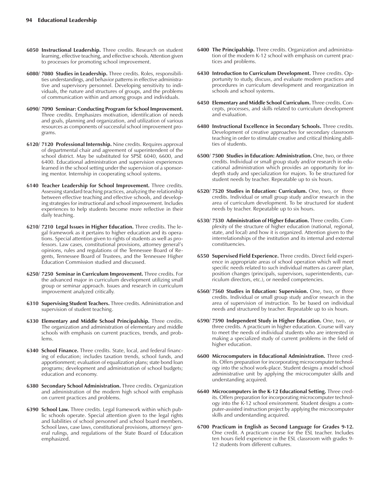- **6050 Instructional Leadership.** Three credits. Research on student learning, effective teaching, and effective schools. Attention given to processes for promoting school improvement.
- **6080/ 7080 Studies in Leadership.** Three credits. Roles, responsibilities understandings, and behavior patterns in effective administrative and supervisory personnel. Developing sensitivity to individuals, the nature and structures of groups, and the problems of communication within and among groups and individuals.
- **6090/ 7090 Seminar: Conducting Program for School Improvement.** Three credits. Emphasizes motivation, identification of needs and goals, planning and organization, and utilization of various resources as components of successful school improvement programs.
- **6120/ 7120 Professional Internship.** Nine credits. Requires approval of departmental chair and agreement of superintendent of the school district. May be substituted for SPSE 6040, 6600, and 6400. Educational administration and supervision experiences learned in the school setting under the supervision of a sponsoring mentor. Internship in cooperating school systems.
- **6140 Teacher Leadership for School Improvement.** Three credits. Assessing standard teaching practices, analyzing the relationship between effective teaching and effective schools, and developing strategies for instructional and school improvement. Includes experiences to help students become more reflective in their daily teaching.
- **6210/ 7210 Legal Issues in Higher Education.** Three credits. The legal framework as it pertains to higher education and its operations. Special attention given to rights of students as well as professors. Law cases, constitutional provisions, attorney general's opinions, rules and regulations of the Tennessee Board of Regents, Tennessee Board of Trustees, and the Tennessee Higher Education Commission studied and discussed.
- **6250/ 7250 Seminar in Curriculum Improvement.** Three credits. For the advanced major in curriculum development utilizing small group or seminar approach. Issues and research in curriculum improvement analyzed critically.
- **6310 Supervising Student Teachers.** Three credits. Administration and supervision of student teaching.
- **6330 Elementary and Middle School Principalship.** Three credits. The organization and administration of elementary and middle schools with emphasis on current practices, trends, and problems.
- **6340 School Finance.** Three credits. State, local, and federal financing of education; includes taxation trends, school funds, and apportionment; evaluation of equalization plans; state bond loan programs; development and administration of school budgets; education and economy.
- **6380 Secondary School Administration.** Three credits. Organization and administration of the modern high school with emphasis on current practices and problems.
- **6390 School Law.** Three credits. Legal framework within which public schools operate. Special attention given to the legal rights and liabilities of school personnel and school board members. School laws, case laws, constitutional provisions, attorneys' general rulings, and regulations of the State Board of Education emphasized.
- **6400 The Principalship.** Three credits. Organization and administration of the modern K-12 school with emphasis on current practices and problems.
- **6430 Introduction to Curriculum Development.** Three credits. Opportunity to study, discuss, and evaluate modern practices and procedures in curriculum development and reorganization in schools and school systems.
- **6450 Elementary and Middle School Curriculum.** Three credits. Concepts, processes, and skills related to curriculum development and evaluation.
- **6480 Instructional Excellence in Secondary Schools.** Three credits. Development of creative approaches for secondary classroom teaching in order to stimulate creative and critical thinking abilities of students.
- **6500/ 7500 Studies in Education: Administration.** One, two, or three credits. Individual or small group study and/or research in educational administration which provides an opportunity for indepth study and specialization for majors. To be structured for student needs by teacher. Repeatable up to six hours.
- **6520/ 7520 Studies in Education: Curriculum.** One, two, or three credits. Individual or small group study and/or research in the area of curriculum development. To be structured for student needs by teacher. Repeatable up to six hours.
- **6530/ 7530 Administration of Higher Education.** Three credits. Complexity of the structure of higher education (national, regional, state, and local) and how it is organized. Attention given to the interrelationships of the institution and its internal and external constituencies.
- **6550 Supervised Field Experience.** Three credits. Direct field experience in appropriate areas of school operation which will meet specific needs related to such individual matters as career plan, position changes (principals, supervisors, superintendents, curriculum directors, etc.), or needed competencies.
- **6560/ 7560 Studies in Education: Supervision.** One, two, or three credits. Individual or small group study and/or research in the area of supervision of instruction. To be based on individual needs and structured by teacher. Repeatable up to six hours.
- **6590/ 7590 Independent Study in Higher Education.** One, two, or three credits. A practicum in higher education. Course will vary to meet the needs of individual students who are interested in making a specialized study of current problems in the field of higher education.
- **6600 Microcomputers in Educational Administration.** Three credits. Offers preparation for incorporating microcomputer technology into the school work-place. Student designs a model school administrative unit by applying the microcomputer skills and understanding acquired.
- **6640 Microcomputers in the K-12 Educational Setting.** Three credits. Offers preparation for incorporating microcomputer technology into the K-12 school environment. Student designs a computer-assisted instruction project by applying the microcomputer skills and understanding acquired.
- **6700 Practicum in English as Second Language for Grades 9-12.** One credit. A practicum course for the ESL teacher. Includes ten hours field experience in the ESL classroom with grades 9- 12 students from different cultures.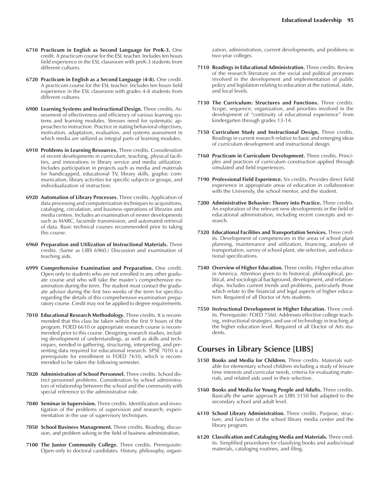- **6710 Practicum in English as Second Language for PreK-3.** One credit. A practicum course for the ESL teacher. Includes ten hours field experience in the ESL classroom with preK-3 students from different cultures.
- **6720 Practicum in English as a Second Language (4-8).** One credit. A practicum course for the ESL teacher. Includes ten hours field experience in the ESL classroom with grades 4-8 students from different cultures.
- **6900 Learning Systems and Instructional Design.** Three credits. Assessment of effectiveness and efficiency of various learning systems and learning modules. Stresses need for systematic approaches to instruction. Practice in stating behavioral objectives, motivation, adaptation, evaluation, and systems assessment in which media are utilized as integral parts of learning modules.
- **6910 Problems in Learning Resources.** Three credits. Consideration of recent developments in curriculum, teaching, physical facilities, and innovations in library service and media utilization. Includes participation in projects such as media and materials for handicapped, educational TV, library skills, graphic communication, library activities for specific subjects or groups, and individualization of instruction.
- **6920 Automation of Library Processes.** Three credits. Application of data processing and computerization techniques to acquisitions, cataloging, circulation, and business operations of libraries and media centers. Includes an examination of newer developments such as MARC, facsimile transmission, and automated retrieval of data. Basic technical courses recommended prior to taking this course.
- **6960 Preparation and Utilization of Instructional Materials.** Three credits. (Same as LIBS 6960.) Discussion and examination of teaching aids.
- **6999 Comprehensive Examination and Preparation.** One credit. Open only to students who are not enrolled in any other graduate course and who will take the master's comprehensive examination during the term. The student must contact the graduate advisor during the first two weeks of the term for specifics regarding the details of this comprehensive examination preparatory course. Credit may not be applied to degree requirements.
- **7010 Educational Research Methodology.** Three credits. It is recommended that this class be taken within the first 9 hours of the program. FOED 6610 or appropriate research course is recommended prior to this course. Designing research studies, including development of understandings, as well as skills and techniques, needed in gathering, structuring, interpreting, and presenting data required for educational research. SPSE 7010 is a prerequisite for enrollment in FOED 7610, which is recommended to be taken the following semester.
- **7020 Administration of School Personnel.** Three credits. School district personnel problems. Consideration by school administrators of relationship between the school and the community with special reference to the administrative role.
- **7040 Seminar in Supervision.** Three credits. Identification and investigation of the problems of supervision and research; experimentation in the use of supervisory techniques.
- **7050 School Business Management.** Three credits. Reading, discussion, and problem solving in the field of business administration.
- **7100 The Junior Community College.** Three credits. Prerequisite: Open only to doctoral candidates. History, philosophy, organi-

zation, administration, current developments, and problems in two-year colleges.

- **7110 Readings in Educational Administration.** Three credits. Review of the research literature on the social and political processes involved in the development and implementation of public policy and legislation relating to education at the national, state, and local levels.
- **7130 The Curriculum: Structures and Functions.** Three credits. Scope, sequence, organization, and priorities involved in the development of "continuity of educational experience" from kindergarten through grades 13-14.
- **7150 Curriculum Study and Instructional Design.** Three credits. Readings in current research relative to basic and emerging ideas of curriculum development and instructional design.
- **7160 Practicum in Curriculum Development.** Three credits. Principles and practices of curriculum construction applied through simulated and field experiences.
- **7190 Professional Field Experience.** Six credits. Provides direct field experience in appropriate areas of education in collaboration with the University, the school mentor, and the student.
- **7200 Administrative Behavior: Theory into Practice.** Three credits. An exploration of the relevant new developments in the field of educational administration, including recent concepts and research.
- **7320 Educational Facilities and Transportation Services.** Three credits. Development of competencies in the areas of school plant planning, maintenance and utilization, financing, analysis of transportation, survey of school plant, site selection, and educational specifications.
- **7540 Overview of Higher Education.** Three credits. Higher education in America. Attention given to its historical, philosophical, political, and sociological background, development, and relationships. Includes current trends and problems, particularly those which relate to the financial and legal aspects of higher education. Required of all Doctor of Arts students.
- **7550 Instructional Development in Higher Education.** Three credits. Prerequisite: FOED 7560. Addresses effective college teaching, instructional strategies, and use of technology in teaching at the higher education level. Required of all Doctor of Arts students.

# **Courses in Library Science [LIBS]**

- **5150 Books and Media for Children.** Three credits. Materials suitable for elementary school children including a study of leisure time interests and curricular needs, criteria for evaluating materials, and related aids used in their selection.
- **5160 Books and Media for Young People and Adults.** Three credits. Basically the same approach as LIBS 5150 but adapted to the secondary school and adult level.
- **6110 School Library Administration.** Three credits. Purpose, structure, and function of the school library media center and the library program.
- **6120 Classification and Cataloging Media and Materials.** Three credits. Simplified procedures for classifying books and audio/visual materials, cataloging routines, and filing.